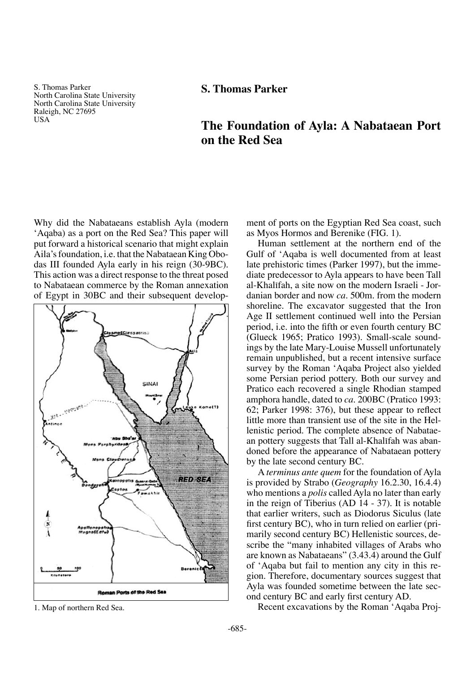S. Thomas Parker North Carolina State University North Carolina State University Raleigh, NC 27695 USA

# **S. Thomas Parker**

# **The Foundation of Ayla: A Nabataean Port on the Red Sea**

Why did the Nabataeans establish Ayla (modern 'Aqaba) as a port on the Red Sea? This paper will put forward a historical scenario that might explain Aila's foundation, i.e. that the Nabataean King Obodas III founded Ayla early in his reign (30-9BC). This action was a direct response to the threat posed to Nabataean commerce by the Roman annexation of Egypt in 30BC and their subsequent develop-



ment of ports on the Egyptian Red Sea coast, such as Myos Hormos and Berenike (FIG. 1).

Human settlement at the northern end of the Gulf of 'Aqaba is well documented from at least late prehistoric times (Parker 1997), but the immediate predecessor to Ayla appears to have been Tall al-Khalifah, a site now on the modern Israeli - Jordanian border and now *ca.* 500m. from the modern shoreline. The excavator suggested that the Iron Age II settlement continued well into the Persian period, i.e. into the fifth or even fourth century BC (Glueck 1965; Pratico 1993). Small-scale soundings by the late Mary-Louise Mussell unfortunately remain unpublished, but a recent intensive surface survey by the Roman 'Aqaba Project also yielded some Persian period pottery. Both our survey and Pratico each recovered a single Rhodian stamped amphora handle, dated to *ca.* 200BC (Pratico 1993: 62; Parker 1998: 376), but these appear to reflect little more than transient use of the site in the Hellenistic period. The complete absence of Nabataean pottery suggests that Tall al-Khalifah was abandoned before the appearance of Nabataean pottery by the late second century BC.

A *terminus ante quem* for the foundation of Ayla is provided by Strabo (*Geography* 16.2.30, 16.4.4) who mentions a *polis* called Ayla no later than early in the reign of Tiberius (AD 14 - 37). It is notable that earlier writers, such as Diodorus Siculus (late first century BC), who in turn relied on earlier (primarily second century BC) Hellenistic sources, describe the "many inhabited villages of Arabs who are known as Nabataeans" (3.43.4) around the Gulf of 'Aqaba but fail to mention any city in this region. Therefore, documentary sources suggest that Ayla was founded sometime between the late second century BC and early first century AD.

1. Map of northern Red Sea. Recent excavations by the Roman 'Aqaba Proj-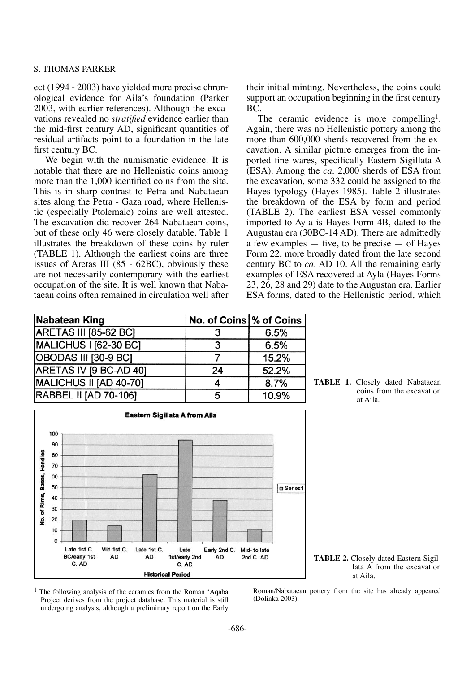#### S. Thomas Parker

ect (1994 - 2003) have yielded more precise chronological evidence for Aila's foundation (Parker 2003, with earlier references). Although the excavations revealed no *stratified* evidence earlier than the mid-first century AD, significant quantities of residual artifacts point to a foundation in the late first century BC.

We begin with the numismatic evidence. It is notable that there are no Hellenistic coins among more than the 1,000 identified coins from the site. This is in sharp contrast to Petra and Nabataean sites along the Petra - Gaza road, where Hellenistic (especially Ptolemaic) coins are well attested. The excavation did recover 264 Nabataean coins, but of these only 46 were closely datable. Table 1 illustrates the breakdown of these coins by ruler (TABLE 1). Although the earliest coins are three issues of Aretas III (85 - 62BC), obviously these are not necessarily contemporary with the earliest occupation of the site. It is well known that Nabataean coins often remained in circulation well after their initial minting. Nevertheless, the coins could support an occupation beginning in the first century BC.

The ceramic evidence is more compelling<sup>1</sup>. Again, there was no Hellenistic pottery among the more than 600,000 sherds recovered from the excavation. A similar picture emerges from the imported fine wares, specifically Eastern Sigillata A (ESA). Among the *ca.* 2,000 sherds of ESA from the excavation, some 332 could be assigned to the Hayes typology (Hayes 1985). Table 2 illustrates the breakdown of the ESA by form and period (TABLE 2). The earliest ESA vessel commonly imported to Ayla is Hayes Form 4B, dated to the Augustan era (30BC-14 AD). There are admittedly a few examples  $-$  five, to be precise  $-$  of Hayes Form 22, more broadly dated from the late second century BC to *ca.* AD 10. All the remaining early examples of ESA recovered at Ayla (Hayes Forms 23, 26, 28 and 29) date to the Augustan era. Earlier ESA forms, dated to the Hellenistic period, which

**TABLE 1.** Closely dated Nabataean

coins from the excavation

| <b>Nabatean King</b>         | No. of Coins % of Coins |       |
|------------------------------|-------------------------|-------|
| <b>ARETAS III [85-62 BC]</b> |                         | 6.5%  |
| <b>MALICHUS I [62-30 BC]</b> | ર                       | 6.5%  |
| OBODAS III [30-9 BC]         |                         | 15.2% |
| ARETAS IV [9 BC-AD 40]       | 24                      | 52.2% |
| MALICHUS II [AD 40-70]       |                         | 8.7%  |
| <b>RABBEL II [AD 70-106]</b> | 5                       | 10.9% |



 $<sup>1</sup>$  The following analysis of the ceramics from the Roman 'Aqaba</sup> Project derives from the project database. This material is still undergoing analysis, although a preliminary report on the Early

Roman/Nabataean pottery from the site has already appeared (Dolinka 2003).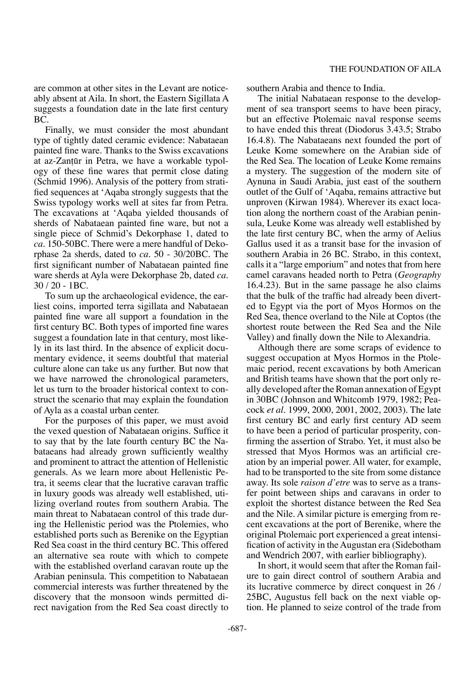are common at other sites in the Levant are noticeably absent at Aila. In short, the Eastern Sigillata A suggests a foundation date in the late first century BC.

Finally, we must consider the most abundant type of tightly dated ceramic evidence: Nabataean painted fine ware. Thanks to the Swiss excavations at az-Zan†ør in Petra, we have a workable typology of these fine wares that permit close dating (Schmid 1996). Analysis of the pottery from stratified sequences at 'Aqaba strongly suggests that the Swiss typology works well at sites far from Petra. The excavations at 'Aqaba yielded thousands of sherds of Nabataean painted fine ware, but not a single piece of Schmid's Dekorphase 1, dated to *ca.* 150-50BC. There were a mere handful of Dekorphase 2a sherds, dated to *ca.* 50 - 30/20BC. The first significant number of Nabataean painted fine ware sherds at Ayla were Dekorphase 2b, dated *ca.* 30 / 20 - 1BC.

To sum up the archaeological evidence, the earliest coins, imported terra sigillata and Nabataean painted fine ware all support a foundation in the first century BC. Both types of imported fine wares suggest a foundation late in that century, most likely in its last third. In the absence of explicit documentary evidence, it seems doubtful that material culture alone can take us any further. But now that we have narrowed the chronological parameters, let us turn to the broader historical context to construct the scenario that may explain the foundation of Ayla as a coastal urban center.

For the purposes of this paper, we must avoid the vexed question of Nabataean origins. Suffice it to say that by the late fourth century BC the Nabataeans had already grown sufficiently wealthy and prominent to attract the attention of Hellenistic generals. As we learn more about Hellenistic Petra, it seems clear that the lucrative caravan traffic in luxury goods was already well established, utilizing overland routes from southern Arabia. The main threat to Nabataean control of this trade during the Hellenistic period was the Ptolemies, who established ports such as Berenike on the Egyptian Red Sea coast in the third century BC. This offered an alternative sea route with which to compete with the established overland caravan route up the Arabian peninsula. This competition to Nabataean commercial interests was further threatened by the discovery that the monsoon winds permitted direct navigation from the Red Sea coast directly to southern Arabia and thence to India.

The initial Nabataean response to the development of sea transport seems to have been piracy, but an effective Ptolemaic naval response seems to have ended this threat (Diodorus 3.43.5; Strabo 16.4.8). The Nabataeans next founded the port of Leuke Kome somewhere on the Arabian side of the Red Sea. The location of Leuke Kome remains a mystery. The suggestion of the modern site of Aynuna in Saudi Arabia, just east of the southern outlet of the Gulf of 'Aqaba, remains attractive but unproven (Kirwan 1984). Wherever its exact location along the northern coast of the Arabian peninsula, Leuke Kome was already well established by the late first century BC, when the army of Aelius Gallus used it as a transit base for the invasion of southern Arabia in 26 BC. Strabo, in this context, calls it a "large emporium" and notes that from here camel caravans headed north to Petra (*Geography* 16.4.23). But in the same passage he also claims that the bulk of the traffic had already been diverted to Egypt via the port of Myos Hormos on the Red Sea, thence overland to the Nile at Coptos (the shortest route between the Red Sea and the Nile Valley) and finally down the Nile to Alexandria.

Although there are some scraps of evidence to suggest occupation at Myos Hormos in the Ptolemaic period, recent excavations by both American and British teams have shown that the port only really developed after the Roman annexation of Egypt in 30BC (Johnson and Whitcomb 1979, 1982; Peacock *et al.* 1999, 2000, 2001, 2002, 2003). The late first century BC and early first century AD seem to have been a period of particular prosperity, confirming the assertion of Strabo. Yet, it must also be stressed that Myos Hormos was an artificial creation by an imperial power. All water, for example, had to be transported to the site from some distance away. Its sole *raison d'etre* was to serve as a transfer point between ships and caravans in order to exploit the shortest distance between the Red Sea and the Nile. A similar picture is emerging from recent excavations at the port of Berenike, where the original Ptolemaic port experienced a great intensification of activity in the Augustan era (Sidebotham and Wendrich 2007, with earlier bibliography).

In short, it would seem that after the Roman failure to gain direct control of southern Arabia and its lucrative commerce by direct conquest in 26 / 25BC, Augustus fell back on the next viable option. He planned to seize control of the trade from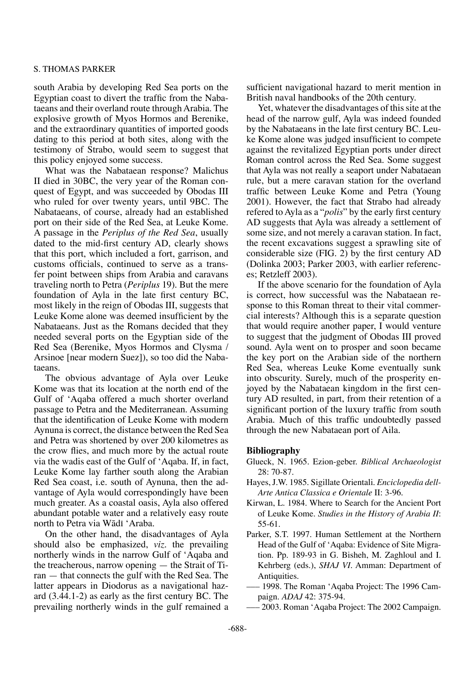#### S. Thomas Parker

south Arabia by developing Red Sea ports on the Egyptian coast to divert the traffic from the Nabataeans and their overland route through Arabia. The explosive growth of Myos Hormos and Berenike, and the extraordinary quantities of imported goods dating to this period at both sites, along with the testimony of Strabo, would seem to suggest that this policy enjoyed some success.

What was the Nabataean response? Malichus II died in 30BC, the very year of the Roman conquest of Egypt, and was succeeded by Obodas III who ruled for over twenty years, until 9BC. The Nabataeans, of course, already had an established port on their side of the Red Sea, at Leuke Kome. A passage in the *Periplus of the Red Sea*, usually dated to the mid-first century AD, clearly shows that this port, which included a fort, garrison, and customs officials, continued to serve as a transfer point between ships from Arabia and caravans traveling north to Petra (*Periplus* 19). But the mere foundation of Ayla in the late first century BC, most likely in the reign of Obodas III, suggests that Leuke Kome alone was deemed insufficient by the Nabataeans. Just as the Romans decided that they needed several ports on the Egyptian side of the Red Sea (Berenike, Myos Hormos and Clysma / Arsinoe [near modern Suez]), so too did the Nabataeans.

The obvious advantage of Ayla over Leuke Kome was that its location at the north end of the Gulf of 'Aqaba offered a much shorter overland passage to Petra and the Mediterranean. Assuming that the identification of Leuke Kome with modern Aynuna is correct, the distance between the Red Sea and Petra was shortened by over 200 kilometres as the crow flies, and much more by the actual route via the wadis east of the Gulf of 'Aqaba. If, in fact, Leuke Kome lay farther south along the Arabian Red Sea coast, i.e. south of Aynuna, then the advantage of Ayla would correspondingly have been much greater. As a coastal oasis, Ayla also offered abundant potable water and a relatively easy route north to Petra via Wādī 'Araba.

On the other hand, the disadvantages of Ayla should also be emphasized, *viz.* the prevailing northerly winds in the narrow Gulf of 'Aqaba and the treacherous, narrow opening — the Strait of Tiran — that connects the gulf with the Red Sea. The latter appears in Diodorus as a navigational hazard (3.44.1-2) as early as the first century BC. The prevailing northerly winds in the gulf remained a

sufficient navigational hazard to merit mention in British naval handbooks of the 20th century.

Yet, whatever the disadvantages of this site at the head of the narrow gulf, Ayla was indeed founded by the Nabataeans in the late first century BC. Leuke Kome alone was judged insufficient to compete against the revitalized Egyptian ports under direct Roman control across the Red Sea. Some suggest that Ayla was not really a seaport under Nabataean rule, but a mere caravan station for the overland traffic between Leuke Kome and Petra (Young 2001). However, the fact that Strabo had already refered to Ayla as a "*polis*" by the early first century AD suggests that Ayla was already a settlement of some size, and not merely a caravan station. In fact, the recent excavations suggest a sprawling site of considerable size (FIG. 2) by the first century AD (Dolinka 2003; Parker 2003, with earlier references; Retzleff 2003).

If the above scenario for the foundation of Ayla is correct, how successful was the Nabataean response to this Roman threat to their vital commercial interests? Although this is a separate question that would require another paper, I would venture to suggest that the judgment of Obodas III proved sound. Ayla went on to prosper and soon became the key port on the Arabian side of the northern Red Sea, whereas Leuke Kome eventually sunk into obscurity. Surely, much of the prosperity enjoyed by the Nabataean kingdom in the first century AD resulted, in part, from their retention of a significant portion of the luxury traffic from south Arabia. Much of this traffic undoubtedly passed through the new Nabataean port of Aila.

## **Bibliography**

- Glueck, N. 1965. Ezion-geber. *Biblical Archaeologist* 28: 70-87.
- Hayes, J.W. 1985. Sigillate Orientali. *Enciclopedia dell-Arte Antica Classica e Orientale* II: 3-96.
- Kirwan, L. 1984. Where to Search for the Ancient Port of Leuke Kome. *Studies in the History of Arabia II*: 55-61.
- Parker, S.T. 1997. Human Settlement at the Northern Head of the Gulf of 'Aqaba: Evidence of Site Migration. Pp. 189-93 in G. Bisheh, M. Zaghloul and I. Kehrberg (eds.), *SHAJ VI*. Amman: Department of Antiquities.
- ––– 1998. The Roman 'Aqaba Project: The 1996 Campaign. *ADAJ* 42: 375-94.
- ––– 2003. Roman 'Aqaba Project: The 2002 Campaign.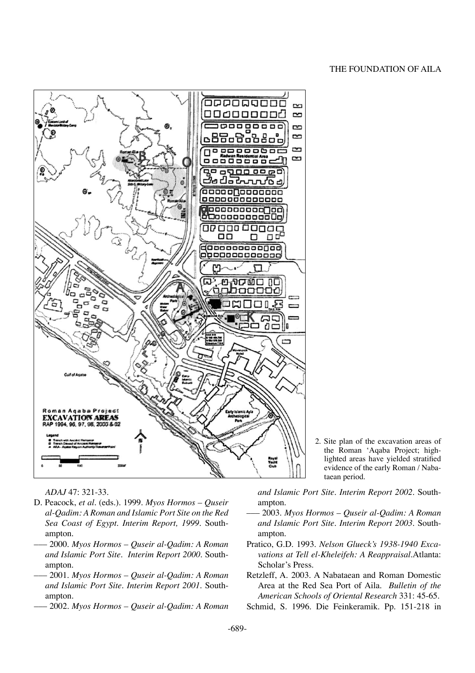#### The Foundation of Aila



*ADAJ* 47: 321-33.

- D. Peacock, *et al.* (eds.). 1999. *Myos Hormos Quseir al-Qadim: A Roman and Islamic Port Site on the Red Sea Coast of Egypt*. *Interim Report, 1999*. Southampton.
- ––– 2000. *Myos Hormos Quseir al-Qadim: A Roman and Islamic Port Site. Interim Report 2000.* Southampton.
- ––– 2001. *Myos Hormos Quseir al-Qadim: A Roman and Islamic Port Site. Interim Report 2001.* Southampton.
- ––– 2002. *Myos Hormos Quseir al-Qadim: A Roman*

2. Site plan of the excavation areas of the Roman 'Aqaba Project; highlighted areas have yielded stratified evidence of the early Roman / Nabataean period.

*and Islamic Port Site. Interim Report 2002.* Southampton.

- ––– 2003. *Myos Hormos Quseir al-Qadim: A Roman and Islamic Port Site. Interim Report 2003.* Southampton.
- Pratico, G.D. 1993. *Nelson Glueck's 1938-1940 Excavations at Tell el-Kheleifeh: A Reappraisal*.Atlanta: Scholar's Press.
- Retzleff, A. 2003. A Nabataean and Roman Domestic Area at the Red Sea Port of Aila. *Bulletin of the American Schools of Oriental Research* 331: 45-65.
- Schmid, S. 1996. Die Feinkeramik. Pp. 151-218 in